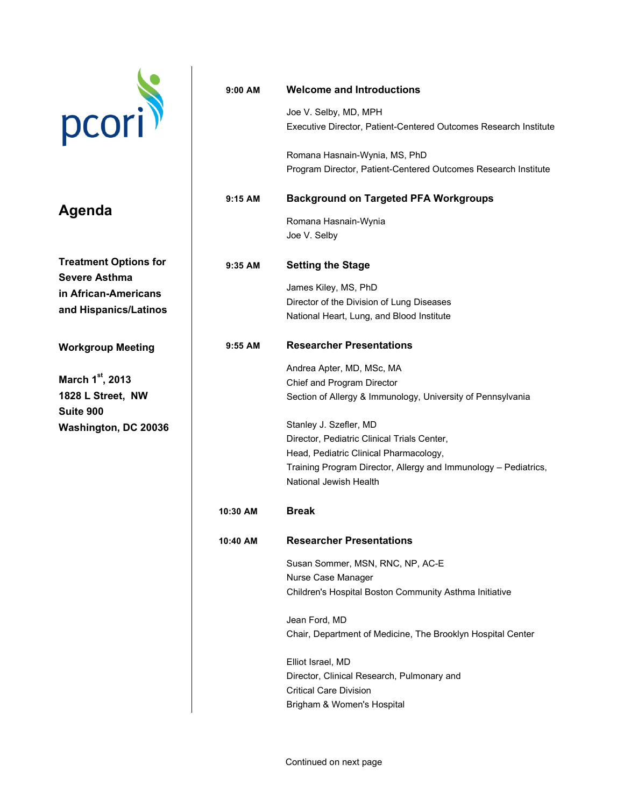## pcori

## **Agenda**

**Treatment Options for Severe Asthma in African-Americans and Hispanics/Latinos**

**Workgroup Meeting**

**March 1st, 2013 1828 L Street, NW Suite 900 Washington, DC 20036**

| $9:00$ AM | <b>Welcome and Introductions</b>                                                                                                                                                                             |
|-----------|--------------------------------------------------------------------------------------------------------------------------------------------------------------------------------------------------------------|
|           | Joe V. Selby, MD, MPH<br>Executive Director, Patient-Centered Outcomes Research Institute                                                                                                                    |
|           | Romana Hasnain-Wynia, MS, PhD<br>Program Director, Patient-Centered Outcomes Research Institute                                                                                                              |
| $9:15$ AM | <b>Background on Targeted PFA Workgroups</b>                                                                                                                                                                 |
|           | Romana Hasnain-Wynia<br>Joe V. Selby                                                                                                                                                                         |
| $9:35$ AM | <b>Setting the Stage</b>                                                                                                                                                                                     |
|           | James Kiley, MS, PhD<br>Director of the Division of Lung Diseases<br>National Heart, Lung, and Blood Institute                                                                                               |
| $9:55$ AM | <b>Researcher Presentations</b>                                                                                                                                                                              |
|           | Andrea Apter, MD, MSc, MA<br>Chief and Program Director<br>Section of Allergy & Immunology, University of Pennsylvania                                                                                       |
|           | Stanley J. Szefler, MD<br>Director, Pediatric Clinical Trials Center,<br>Head, Pediatric Clinical Pharmacology,<br>Training Program Director, Allergy and Immunology – Pediatrics,<br>National Jewish Health |
| 10:30 AM  | <b>Break</b>                                                                                                                                                                                                 |
| 10:40 AM  | <b>Researcher Presentations</b>                                                                                                                                                                              |
|           | Susan Sommer, MSN, RNC, NP, AC-E<br>Nurse Case Manager<br>Children's Hospital Boston Community Asthma Initiative                                                                                             |
|           | Jean Ford, MD<br>Chair, Department of Medicine, The Brooklyn Hospital Center                                                                                                                                 |
|           | Elliot Israel, MD<br>Director, Clinical Research, Pulmonary and<br><b>Critical Care Division</b><br>Brigham & Women's Hospital                                                                               |